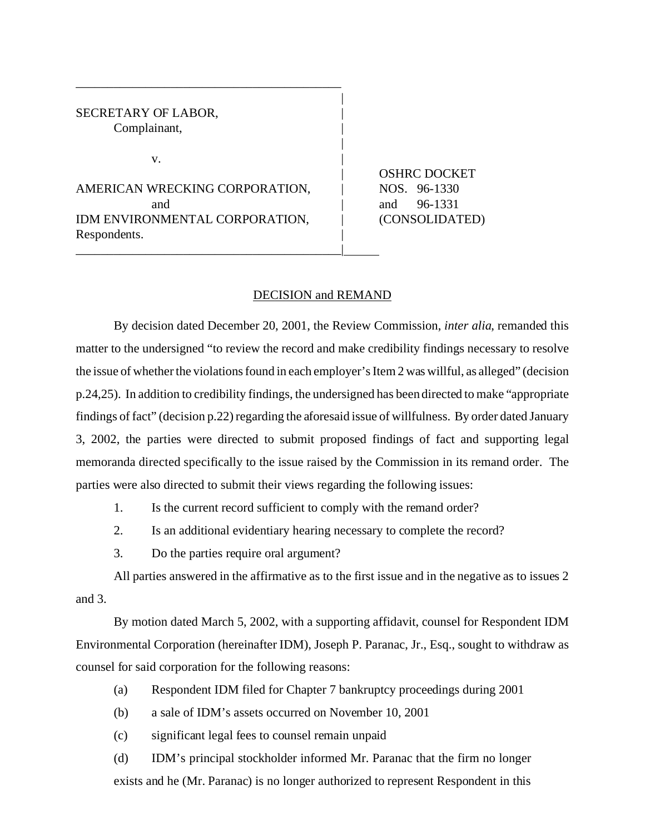SECRETARY OF LABOR. Complainant,

 $\mathbf{v}$ .

AMERICAN WRECKING CORPORATION,  $\vert$  NOS. 96-1330 and **and** 96-1331 IDM ENVIRONMENTAL CORPORATION, | (CONSOLIDATED) Respondents.

\_\_\_\_\_\_\_\_\_\_\_\_\_\_\_\_\_\_\_\_\_\_\_\_\_\_\_\_\_\_\_\_\_\_\_\_\_\_\_\_\_\_|

\_\_\_\_\_\_\_\_\_\_\_\_\_\_\_\_\_\_\_\_\_\_\_\_\_\_\_\_\_\_\_\_\_\_\_\_\_\_\_\_\_\_

| OSHRC DOCKET

## DECISION and REMAND

|

|

By decision dated December 20, 2001, the Review Commission, *inter alia*, remanded this matter to the undersigned "to review the record and make credibility findings necessary to resolve the issue of whether the violations found in each employer's Item 2 was willful, as alleged" (decision p.24,25). In addition to credibility findings, the undersigned has been directed to make "appropriate findings of fact" (decision p.22) regarding the aforesaid issue of willfulness. By order dated January 3, 2002, the parties were directed to submit proposed findings of fact and supporting legal memoranda directed specifically to the issue raised by the Commission in its remand order. The parties were also directed to submit their views regarding the following issues:

- 1. Is the current record sufficient to comply with the remand order?
- 2. Is an additional evidentiary hearing necessary to complete the record?
- 3. Do the parties require oral argument?

All parties answered in the affirmative as to the first issue and in the negative as to issues 2 and 3.

By motion dated March 5, 2002, with a supporting affidavit, counsel for Respondent IDM Environmental Corporation (hereinafter IDM), Joseph P. Paranac, Jr., Esq., sought to withdraw as counsel for said corporation for the following reasons:

- (a) Respondent IDM filed for Chapter 7 bankruptcy proceedings during 2001
- (b) a sale of IDM's assets occurred on November 10, 2001
- (c) significant legal fees to counsel remain unpaid

(d) IDM's principal stockholder informed Mr. Paranac that the firm no longer exists and he (Mr. Paranac) is no longer authorized to represent Respondent in this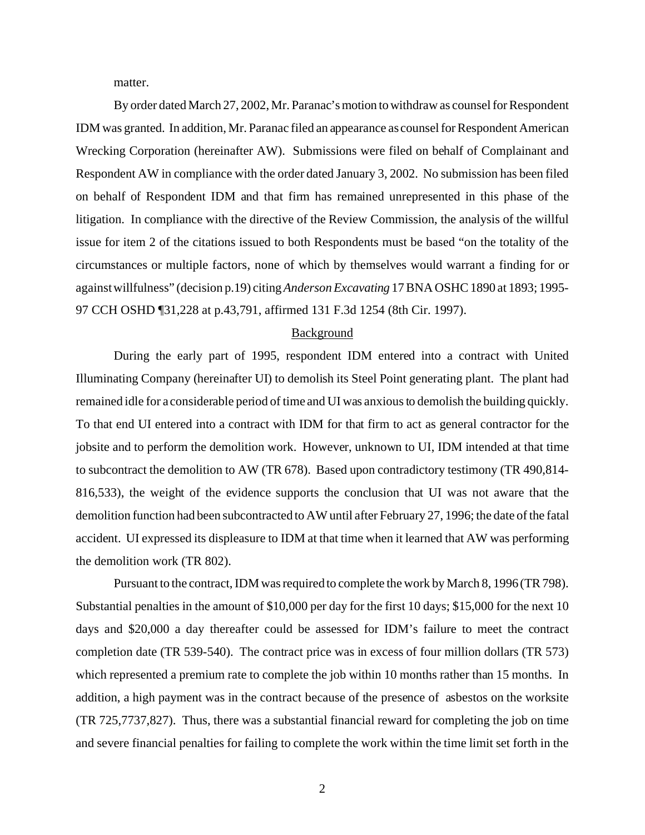matter.

By order dated March 27, 2002, Mr. Paranac'smotion towithdraw as counsel for Respondent IDM was granted. In addition, Mr. Paranac filed an appearance as counsel for Respondent American Wrecking Corporation (hereinafter AW). Submissions were filed on behalf of Complainant and Respondent AW in compliance with the order dated January 3, 2002. No submission has been filed on behalf of Respondent IDM and that firm has remained unrepresented in this phase of the litigation. In compliance with the directive of the Review Commission, the analysis of the willful issue for item 2 of the citations issued to both Respondents must be based "on the totality of the circumstances or multiple factors, none of which by themselves would warrant a finding for or against willfulness" (decision p.19) citing *Anderson Excavating* 17 BNA OSHC 1890 at 1893; 1995- 97 CCH OSHD ¶31,228 at p.43,791, affirmed 131 F.3d 1254 (8th Cir. 1997).

## Background

During the early part of 1995, respondent IDM entered into a contract with United Illuminating Company (hereinafter UI) to demolish its Steel Point generating plant. The plant had remained idle for a considerable period of time and UI was anxious to demolish the building quickly. To that end UI entered into a contract with IDM for that firm to act as general contractor for the jobsite and to perform the demolition work. However, unknown to UI, IDM intended at that time to subcontract the demolition to AW (TR 678). Based upon contradictory testimony (TR 490,814- 816,533), the weight of the evidence supports the conclusion that UI was not aware that the demolition function had been subcontracted to AW until after February 27, 1996; the date of the fatal accident. UI expressed its displeasure to IDM at that time when it learned that AW was performing the demolition work (TR 802).

Pursuant to the contract, IDM was required to complete the work by March 8, 1996 (TR 798). Substantial penalties in the amount of \$10,000 per day for the first 10 days; \$15,000 for the next 10 days and \$20,000 a day thereafter could be assessed for IDM's failure to meet the contract completion date (TR 539-540). The contract price was in excess of four million dollars (TR 573) which represented a premium rate to complete the job within 10 months rather than 15 months. In addition, a high payment was in the contract because of the presence of asbestos on the worksite (TR 725,7737,827). Thus, there was a substantial financial reward for completing the job on time and severe financial penalties for failing to complete the work within the time limit set forth in the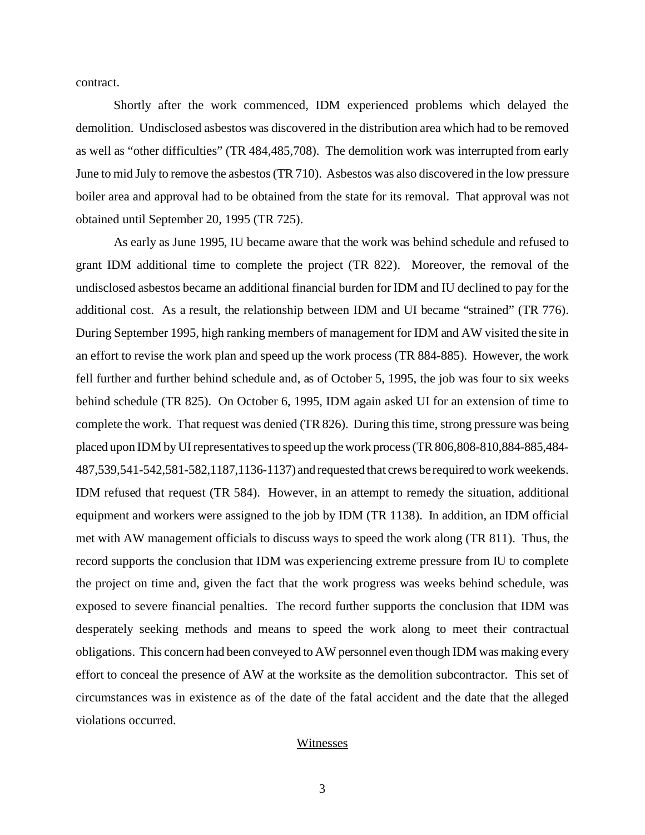contract.

Shortly after the work commenced, IDM experienced problems which delayed the demolition. Undisclosed asbestos was discovered in the distribution area which had to be removed as well as "other difficulties" (TR 484,485,708). The demolition work was interrupted from early June to mid July to remove the asbestos (TR 710). Asbestos was also discovered in the low pressure boiler area and approval had to be obtained from the state for its removal. That approval was not obtained until September 20, 1995 (TR 725).

As early as June 1995, IU became aware that the work was behind schedule and refused to grant IDM additional time to complete the project (TR 822). Moreover, the removal of the undisclosed asbestos became an additional financial burden for IDM and IU declined to pay for the additional cost. As a result, the relationship between IDM and UI became "strained" (TR 776). During September 1995, high ranking members of management for IDM and AW visited the site in an effort to revise the work plan and speed up the work process (TR 884-885). However, the work fell further and further behind schedule and, as of October 5, 1995, the job was four to six weeks behind schedule (TR 825). On October 6, 1995, IDM again asked UI for an extension of time to complete the work. That request was denied (TR 826). During this time, strong pressure was being placed upon IDM by UI representatives to speed up the work process (TR 806,808-810,884-885,484- 487,539,541-542,581-582,1187,1136-1137) and requested that crews be required to work weekends. IDM refused that request (TR 584). However, in an attempt to remedy the situation, additional equipment and workers were assigned to the job by IDM (TR 1138). In addition, an IDM official met with AW management officials to discuss ways to speed the work along (TR 811). Thus, the record supports the conclusion that IDM was experiencing extreme pressure from IU to complete the project on time and, given the fact that the work progress was weeks behind schedule, was exposed to severe financial penalties. The record further supports the conclusion that IDM was desperately seeking methods and means to speed the work along to meet their contractual obligations. This concern had been conveyed to AW personnel even though IDM was making every effort to conceal the presence of AW at the worksite as the demolition subcontractor. This set of circumstances was in existence as of the date of the fatal accident and the date that the alleged violations occurred.

## Witnesses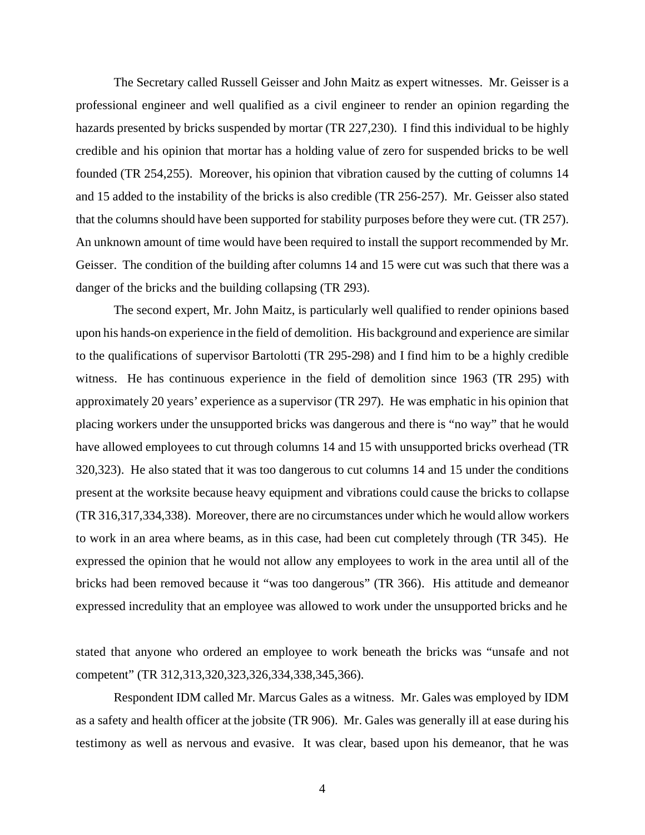The Secretary called Russell Geisser and John Maitz as expert witnesses. Mr. Geisser is a professional engineer and well qualified as a civil engineer to render an opinion regarding the hazards presented by bricks suspended by mortar (TR 227,230). I find this individual to be highly credible and his opinion that mortar has a holding value of zero for suspended bricks to be well founded (TR 254,255). Moreover, his opinion that vibration caused by the cutting of columns 14 and 15 added to the instability of the bricks is also credible (TR 256-257). Mr. Geisser also stated that the columns should have been supported for stability purposes before they were cut. (TR 257). An unknown amount of time would have been required to install the support recommended by Mr. Geisser. The condition of the building after columns 14 and 15 were cut was such that there was a danger of the bricks and the building collapsing (TR 293).

The second expert, Mr. John Maitz, is particularly well qualified to render opinions based upon his hands-on experience in the field of demolition. His background and experience are similar to the qualifications of supervisor Bartolotti (TR 295-298) and I find him to be a highly credible witness. He has continuous experience in the field of demolition since 1963 (TR 295) with approximately 20 years' experience as a supervisor (TR 297). He was emphatic in his opinion that placing workers under the unsupported bricks was dangerous and there is "no way" that he would have allowed employees to cut through columns 14 and 15 with unsupported bricks overhead (TR 320,323). He also stated that it was too dangerous to cut columns 14 and 15 under the conditions present at the worksite because heavy equipment and vibrations could cause the bricks to collapse (TR 316,317,334,338). Moreover, there are no circumstances under which he would allow workers to work in an area where beams, as in this case, had been cut completely through (TR 345). He expressed the opinion that he would not allow any employees to work in the area until all of the bricks had been removed because it "was too dangerous" (TR 366). His attitude and demeanor expressed incredulity that an employee was allowed to work under the unsupported bricks and he

stated that anyone who ordered an employee to work beneath the bricks was "unsafe and not competent" (TR 312,313,320,323,326,334,338,345,366).

Respondent IDM called Mr. Marcus Gales as a witness. Mr. Gales was employed by IDM as a safety and health officer at the jobsite (TR 906). Mr. Gales was generally ill at ease during his testimony as well as nervous and evasive. It was clear, based upon his demeanor, that he was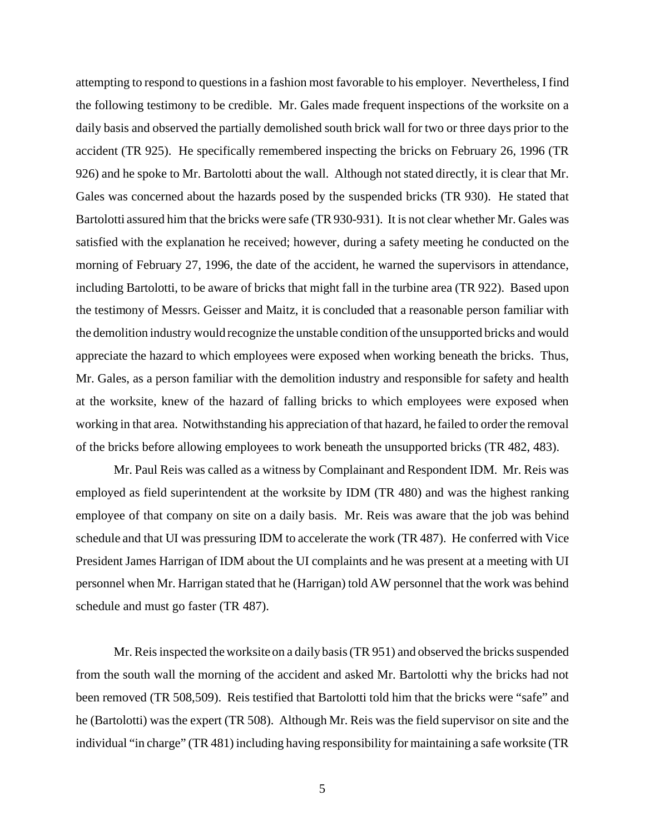attempting to respond to questions in a fashion most favorable to his employer. Nevertheless, I find the following testimony to be credible. Mr. Gales made frequent inspections of the worksite on a daily basis and observed the partially demolished south brick wall for two or three days prior to the accident (TR 925). He specifically remembered inspecting the bricks on February 26, 1996 (TR 926) and he spoke to Mr. Bartolotti about the wall. Although not stated directly, it is clear that Mr. Gales was concerned about the hazards posed by the suspended bricks (TR 930). He stated that Bartolotti assured him that the bricks were safe (TR 930-931). It is not clear whether Mr. Gales was satisfied with the explanation he received; however, during a safety meeting he conducted on the morning of February 27, 1996, the date of the accident, he warned the supervisors in attendance, including Bartolotti, to be aware of bricks that might fall in the turbine area (TR 922). Based upon the testimony of Messrs. Geisser and Maitz, it is concluded that a reasonable person familiar with the demolition industry would recognize the unstable condition of the unsupported bricks and would appreciate the hazard to which employees were exposed when working beneath the bricks. Thus, Mr. Gales, as a person familiar with the demolition industry and responsible for safety and health at the worksite, knew of the hazard of falling bricks to which employees were exposed when working in that area. Notwithstanding his appreciation of that hazard, he failed to order the removal of the bricks before allowing employees to work beneath the unsupported bricks (TR 482, 483).

Mr. Paul Reis was called as a witness by Complainant and Respondent IDM. Mr. Reis was employed as field superintendent at the worksite by IDM (TR 480) and was the highest ranking employee of that company on site on a daily basis. Mr. Reis was aware that the job was behind schedule and that UI was pressuring IDM to accelerate the work (TR 487). He conferred with Vice President James Harrigan of IDM about the UI complaints and he was present at a meeting with UI personnel when Mr. Harrigan stated that he (Harrigan) told AW personnel that the work was behind schedule and must go faster (TR 487).

Mr. Reis inspected the worksite on a daily basis (TR 951) and observed the bricks suspended from the south wall the morning of the accident and asked Mr. Bartolotti why the bricks had not been removed (TR 508,509). Reis testified that Bartolotti told him that the bricks were "safe" and he (Bartolotti) was the expert (TR 508). Although Mr. Reis was the field supervisor on site and the individual "in charge" (TR 481) including having responsibility for maintaining a safe worksite (TR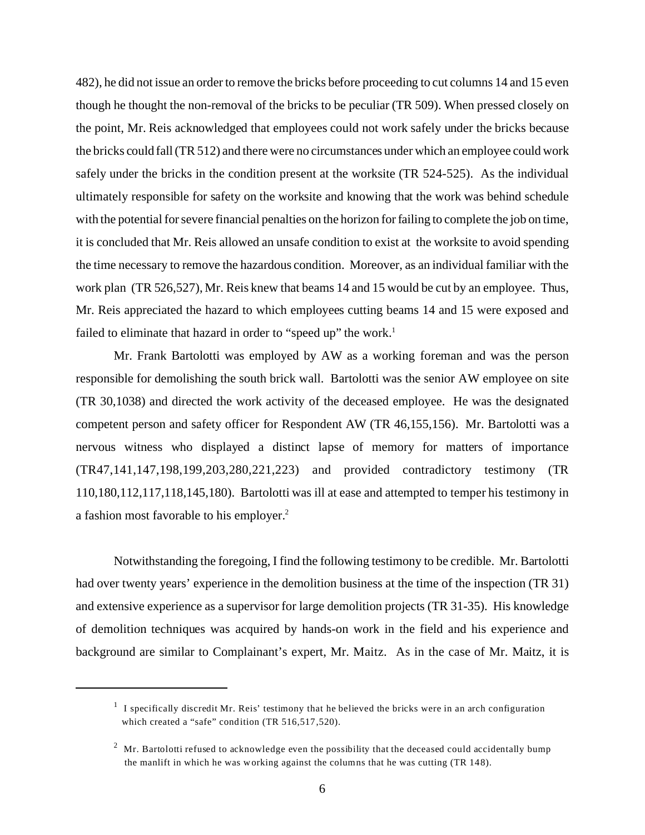482), he did not issue an order to remove the bricks before proceeding to cut columns 14 and 15 even though he thought the non-removal of the bricks to be peculiar (TR 509). When pressed closely on the point, Mr. Reis acknowledged that employees could not work safely under the bricks because the bricks could fall (TR 512) and there were no circumstances under which an employee could work safely under the bricks in the condition present at the worksite (TR 524-525). As the individual ultimately responsible for safety on the worksite and knowing that the work was behind schedule with the potential for severe financial penalties on the horizon for failing to complete the job on time, it is concluded that Mr. Reis allowed an unsafe condition to exist at the worksite to avoid spending the time necessary to remove the hazardous condition. Moreover, as an individual familiar with the work plan (TR 526,527), Mr. Reis knew that beams 14 and 15 would be cut by an employee. Thus, Mr. Reis appreciated the hazard to which employees cutting beams 14 and 15 were exposed and failed to eliminate that hazard in order to "speed up" the work.<sup>1</sup>

Mr. Frank Bartolotti was employed by AW as a working foreman and was the person responsible for demolishing the south brick wall. Bartolotti was the senior AW employee on site (TR 30,1038) and directed the work activity of the deceased employee. He was the designated competent person and safety officer for Respondent AW (TR 46,155,156). Mr. Bartolotti was a nervous witness who displayed a distinct lapse of memory for matters of importance (TR47,141,147,198,199,203,280,221,223) and provided contradictory testimony (TR 110,180,112,117,118,145,180). Bartolotti was ill at ease and attempted to temper his testimony in a fashion most favorable to his employer.<sup>2</sup>

Notwithstanding the foregoing, I find the following testimony to be credible. Mr. Bartolotti had over twenty years' experience in the demolition business at the time of the inspection (TR 31) and extensive experience as a supervisor for large demolition projects (TR 31-35). His knowledge of demolition techniques was acquired by hands-on work in the field and his experience and background are similar to Complainant's expert, Mr. Maitz. As in the case of Mr. Maitz, it is

 $<sup>1</sup>$  I specifically discredit Mr. Reis' testimony that he believed the bricks were in an arch configuration</sup> which created a "safe" condition (TR 516,517,520).

 $^2$  Mr. Bartolotti refused to acknowledge even the possibility that the deceased could accidentally bump the manlift in which he was working against the columns that he was cutting (TR 148).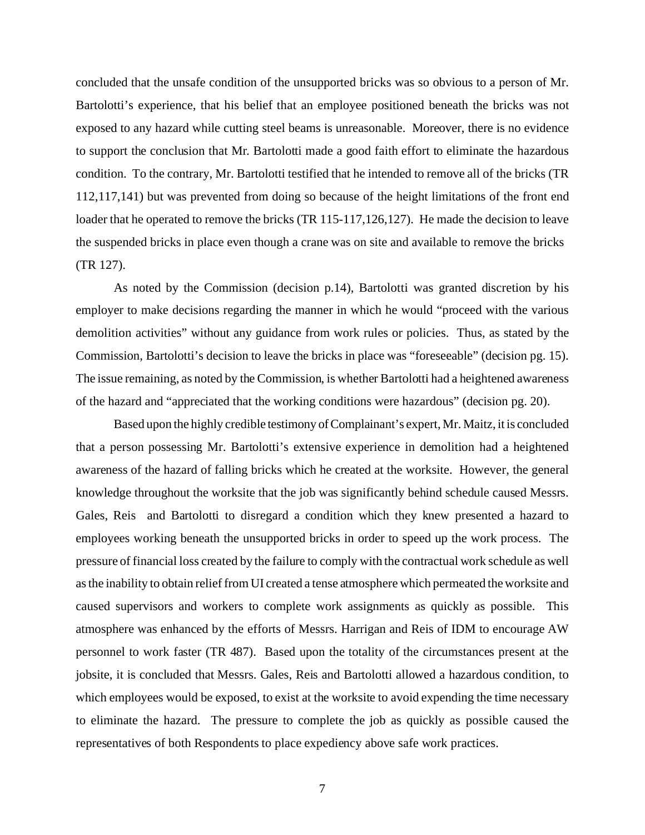concluded that the unsafe condition of the unsupported bricks was so obvious to a person of Mr. Bartolotti's experience, that his belief that an employee positioned beneath the bricks was not exposed to any hazard while cutting steel beams is unreasonable. Moreover, there is no evidence to support the conclusion that Mr. Bartolotti made a good faith effort to eliminate the hazardous condition. To the contrary, Mr. Bartolotti testified that he intended to remove all of the bricks (TR 112,117,141) but was prevented from doing so because of the height limitations of the front end loader that he operated to remove the bricks (TR 115-117, 126, 127). He made the decision to leave the suspended bricks in place even though a crane was on site and available to remove the bricks (TR 127).

As noted by the Commission (decision p.14), Bartolotti was granted discretion by his employer to make decisions regarding the manner in which he would "proceed with the various demolition activities" without any guidance from work rules or policies. Thus, as stated by the Commission, Bartolotti's decision to leave the bricks in place was "foreseeable" (decision pg. 15). The issue remaining, as noted by the Commission, is whether Bartolotti had a heightened awareness of the hazard and "appreciated that the working conditions were hazardous" (decision pg. 20).

Based upon the highly credible testimony ofComplainant's expert, Mr. Maitz, it is concluded that a person possessing Mr. Bartolotti's extensive experience in demolition had a heightened awareness of the hazard of falling bricks which he created at the worksite. However, the general knowledge throughout the worksite that the job was significantly behind schedule caused Messrs. Gales, Reis and Bartolotti to disregard a condition which they knew presented a hazard to employees working beneath the unsupported bricks in order to speed up the work process. The pressure of financial loss created by the failure to comply with the contractual work schedule as well as the inability to obtain relief from UI created a tense atmosphere which permeated the worksite and caused supervisors and workers to complete work assignments as quickly as possible. This atmosphere was enhanced by the efforts of Messrs. Harrigan and Reis of IDM to encourage AW personnel to work faster (TR 487). Based upon the totality of the circumstances present at the jobsite, it is concluded that Messrs. Gales, Reis and Bartolotti allowed a hazardous condition, to which employees would be exposed, to exist at the worksite to avoid expending the time necessary to eliminate the hazard. The pressure to complete the job as quickly as possible caused the representatives of both Respondents to place expediency above safe work practices.

7